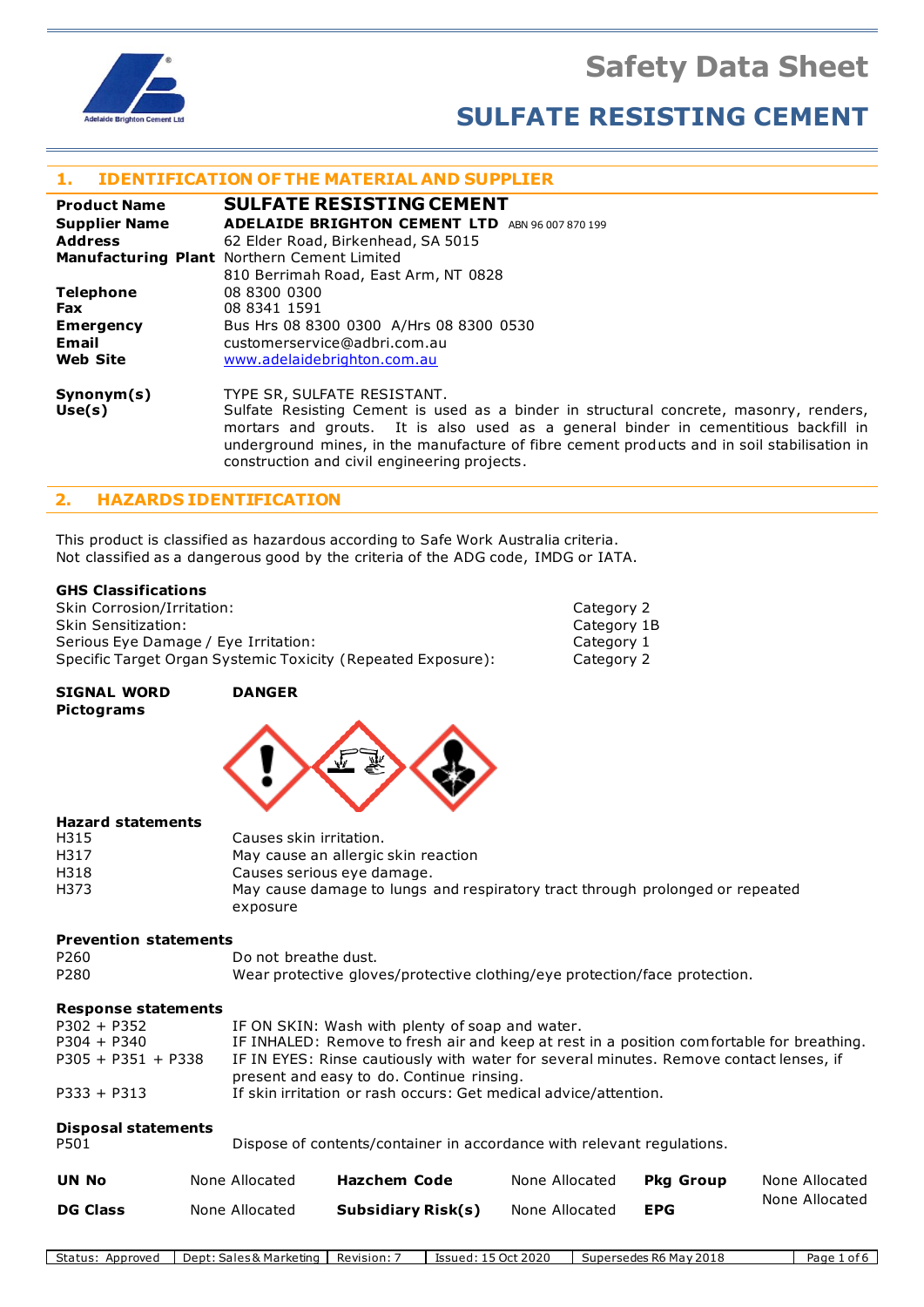**Safety Data Sheet**



# **SULFATE RESISTING CEMENT**

# **1. IDENTIFICATION OF THE MATERIAL AND SUPPLIER**

| <b>Product Name</b>  | <b>SULFATE RESISTING CEMENT</b>                                                                                                                                                                                                                                                                             |
|----------------------|-------------------------------------------------------------------------------------------------------------------------------------------------------------------------------------------------------------------------------------------------------------------------------------------------------------|
| <b>Supplier Name</b> | <b>ADELAIDE BRIGHTON CEMENT LTD</b><br>ABN 96 007 870 199                                                                                                                                                                                                                                                   |
| <b>Address</b>       | 62 Elder Road, Birkenhead, SA 5015                                                                                                                                                                                                                                                                          |
|                      | <b>Manufacturing Plant</b> Northern Cement Limited                                                                                                                                                                                                                                                          |
|                      | 810 Berrimah Road, East Arm, NT 0828                                                                                                                                                                                                                                                                        |
| <b>Telephone</b>     | 08 8300 0300                                                                                                                                                                                                                                                                                                |
| <b>Fax</b>           | 08 8341 1591                                                                                                                                                                                                                                                                                                |
| <b>Emergency</b>     | Bus Hrs 08 8300 0300 A/Hrs 08 8300 0530                                                                                                                                                                                                                                                                     |
| Email                | customerservice@adbri.com.au                                                                                                                                                                                                                                                                                |
| <b>Web Site</b>      | www.adelaidebrighton.com.au                                                                                                                                                                                                                                                                                 |
| Synonym(s)<br>Use(s) | TYPE SR, SULFATE RESISTANT.<br>Sulfate Resisting Cement is used as a binder in structural concrete, masonry, renders,<br>mortars and grouts. It is also used as a general binder in cementitious backfill in<br>underground mines, in the manufacture of fibre cement products and in soil stabilisation in |

## **2. HAZARDS IDENTIFICATION**

This product is classified as hazardous according to Safe Work Australia criteria. Not classified as a dangerous good by the criteria of the ADG code, IMDG or IATA.

construction and civil engineering projects.

#### **GHS Classifications**

| <b>Skin Corrosion/Irritation:</b>                            | Category 2  |
|--------------------------------------------------------------|-------------|
| <b>Skin Sensitization:</b>                                   | Category 1B |
| Serious Eye Damage / Eye Irritation:                         | Category 1  |
| Specific Target Organ Systemic Toxicity (Repeated Exposure): | Category 2  |

#### **SIGNAL WORD DANGER Pictograms**



#### **Hazard statements**

| H315 | Causes skin irritation.                                                       |
|------|-------------------------------------------------------------------------------|
| H317 | May cause an allergic skin reaction                                           |
| H318 | Causes serious eye damage.                                                    |
| H373 | May cause damage to lungs and respiratory tract through prolonged or repeated |
|      | exposure                                                                      |

#### **Prevention statements**

| P <sub>260</sub> | Do not breathe dust.                                                       |
|------------------|----------------------------------------------------------------------------|
| P280             | Wear protective gloves/protective clothing/eye protection/face protection. |

#### **Response statements**

| $P302 + P352$        | IF ON SKIN: Wash with plenty of soap and water.                                           |
|----------------------|-------------------------------------------------------------------------------------------|
| $P304 + P340$        | IF INHALED: Remove to fresh air and keep at rest in a position comfortable for breathing. |
| $P305 + P351 + P338$ | IF IN EYES: Rinse cautiously with water for several minutes. Remove contact lenses, if    |
|                      | present and easy to do. Continue rinsing.                                                 |
| $P333 + P313$        | If skin irritation or rash occurs: Get medical advice/attention.                          |

| <b>Disposal statements</b><br>P501 |                | Dispose of contents/container in accordance with relevant regulations. |                |                  |                |
|------------------------------------|----------------|------------------------------------------------------------------------|----------------|------------------|----------------|
| <b>UN No</b>                       | None Allocated | <b>Hazchem Code</b>                                                    | None Allocated | <b>Pka Group</b> | None Allocated |
| <b>DG Class</b>                    | None Allocated | Subsidiary Risk(s)                                                     | None Allocated | <b>EPG</b>       | None Allocated |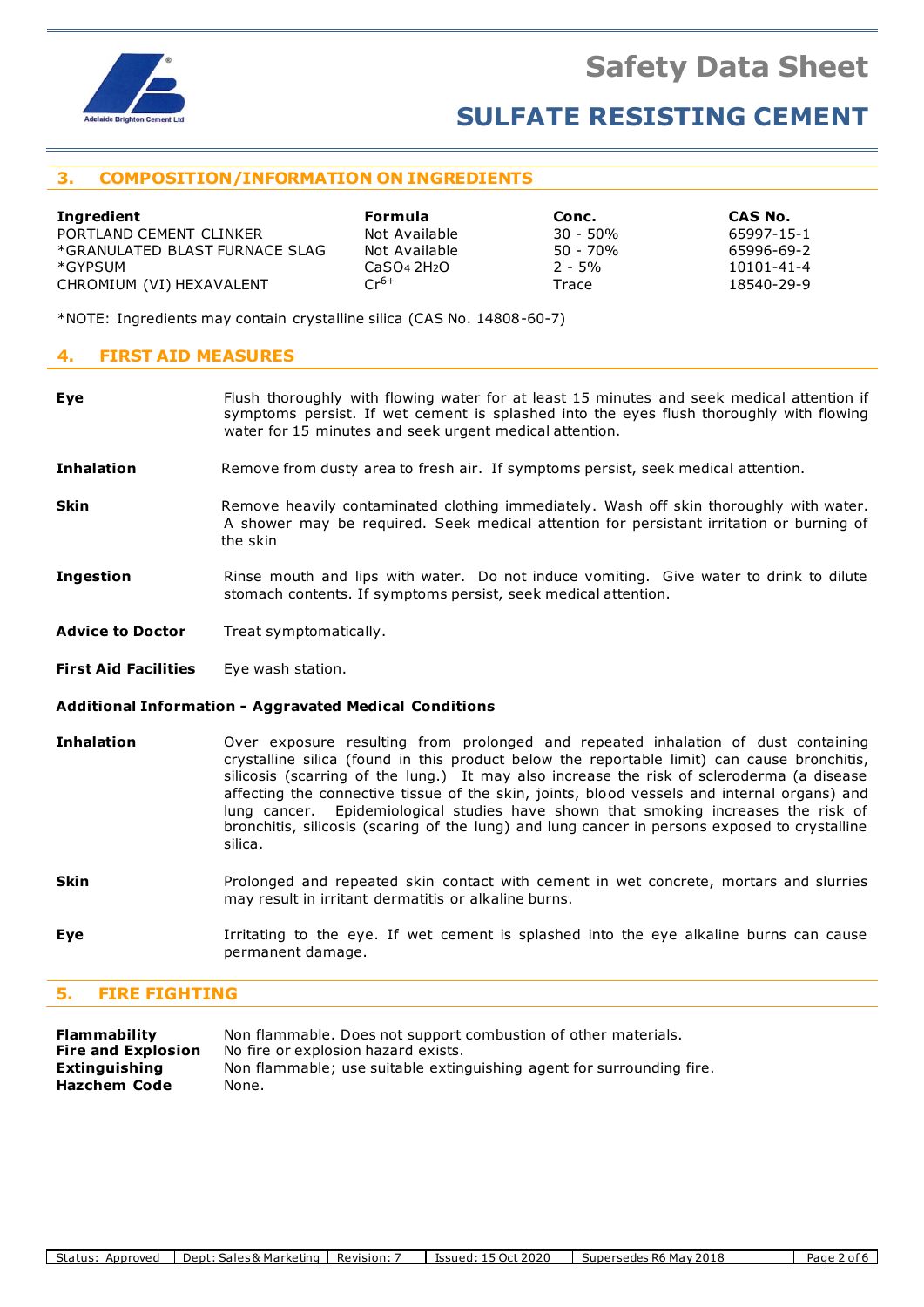

# **3. COMPOSITION/INFORMATION ON INGREDIENTS**

| Ingredient                     | <b>Formula</b>                      | Conc.      | CAS No.    |
|--------------------------------|-------------------------------------|------------|------------|
| PORTLAND CEMENT CLINKER        | Not Available                       | 30 - 50%   | 65997-15-1 |
| *GRANULATED BLAST FURNACE SLAG | Not Available                       | $50 - 70%$ | 65996-69-2 |
| *GYPSUM                        | CaSO <sub>4</sub> 2H <sub>2</sub> O | $2 - 5\%$  | 10101-41-4 |
| CHROMIUM (VI) HEXAVALENT       | $Cr^{6+}$                           | Trace      | 18540-29-9 |

\*NOTE: Ingredients may contain crystalline silica (CAS No. 14808-60-7)

### **4. FIRST AID MEASURES**

**Eye** Flush thoroughly with flowing water for at least 15 minutes and seek medical attention if symptoms persist. If wet cement is splashed into the eyes flush thoroughly with flowing water for 15 minutes and seek urgent medical attention.

**Inhalation** Remove from dusty area to fresh air. If symptoms persist, seek medical attention.

- **Skin** Remove heavily contaminated clothing immediately. Wash off skin thoroughly with water. A shower may be required. Seek medical attention for persistant irritation or burning of the skin
- **Ingestion** Rinse mouth and lips with water. Do not induce vomiting. Give water to drink to dilute stomach contents. If symptoms persist, seek medical attention.
- **Advice to Doctor** Treat symptomatically.
- **First Aid Facilities** Eye wash station.

#### **Additional Information - Aggravated Medical Conditions**

- **Inhalation** Over exposure resulting from prolonged and repeated inhalation of dust containing crystalline silica (found in this product below the reportable limit) can cause bronchitis, silicosis (scarring of the lung.) It may also increase the risk of scleroderma (a disease affecting the connective tissue of the skin, joints, blood vessels and internal organs) and lung cancer. Epidemiological studies have shown that smoking increases the risk of bronchitis, silicosis (scaring of the lung) and lung cancer in persons exposed to crystalline silica.
- **Skin** Prolonged and repeated skin contact with cement in wet concrete, mortars and slurries may result in irritant dermatitis or alkaline burns.
- **Eye I**rritating to the eye. If wet cement is splashed into the eye alkaline burns can cause permanent damage.

### **5. FIRE FIGHTING**

| Flammability              | Non flammable. Does not support combustion of other materials.        |
|---------------------------|-----------------------------------------------------------------------|
| <b>Fire and Explosion</b> | No fire or explosion hazard exists.                                   |
| Extinguishing             | Non flammable; use suitable extinguishing agent for surrounding fire. |
| Hazchem Code              | None.                                                                 |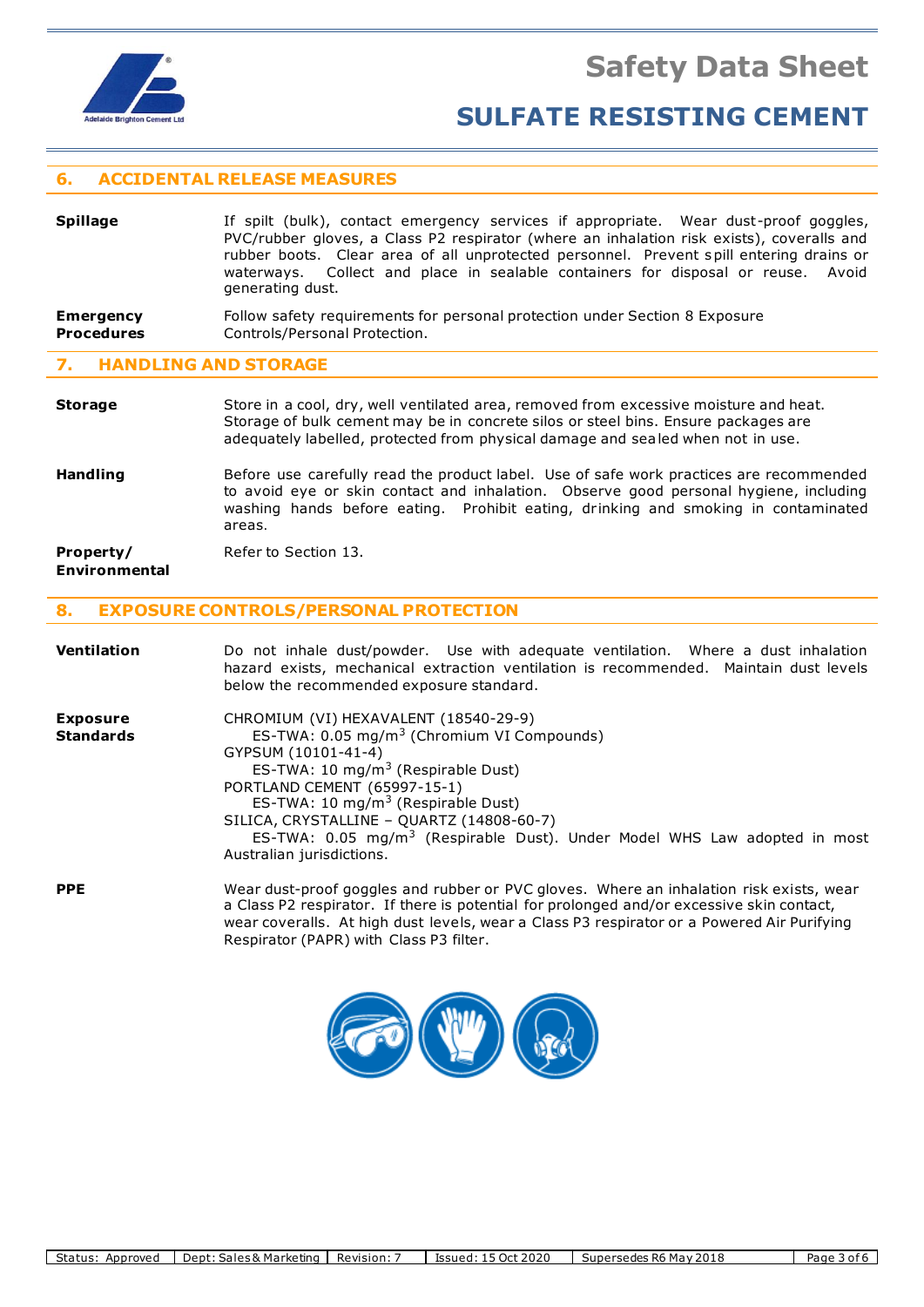

# **6. ACCIDENTAL RELEASE MEASURES**

| <b>Spillage</b>   | If spilt (bulk), contact emergency services if appropriate. Wear dust-proof goggles,<br>PVC/rubber gloves, a Class P2 respirator (where an inhalation risk exists), coveralls and<br>rubber boots. Clear area of all unprotected personnel. Prevent spill entering drains or<br>waterways. Collect and place in sealable containers for disposal or reuse. Avoid<br>generating dust. |
|-------------------|--------------------------------------------------------------------------------------------------------------------------------------------------------------------------------------------------------------------------------------------------------------------------------------------------------------------------------------------------------------------------------------|
| <b>Emergency</b>  | Follow safety requirements for personal protection under Section 8 Exposure                                                                                                                                                                                                                                                                                                          |
| <b>Procedures</b> | Controls/Personal Protection.                                                                                                                                                                                                                                                                                                                                                        |

#### **7. HANDLING AND STORAGE**

**Storage** Store in a cool, dry, well ventilated area, removed from excessive moisture and heat. Storage of bulk cement may be in concrete silos or steel bins. Ensure packages are adequately labelled, protected from physical damage and sealed when not in use.

**Handling** Before use carefully read the product label. Use of safe work practices are recommended to avoid eye or skin contact and inhalation. Observe good personal hygiene, including washing hands before eating. Prohibit eating, drinking and smoking in contaminated areas.

#### **Property/** Refer to Section 13. **Environmental**

### **8. EXPOSURE CONTROLS/PERSONAL PROTECTION**

| <b>Ventilation</b>                  | Do not inhale dust/powder. Use with adequate ventilation. Where a dust inhalation<br>hazard exists, mechanical extraction ventilation is recommended. Maintain dust levels<br>below the recommended exposure standard.                                                                                                                                                                                                        |
|-------------------------------------|-------------------------------------------------------------------------------------------------------------------------------------------------------------------------------------------------------------------------------------------------------------------------------------------------------------------------------------------------------------------------------------------------------------------------------|
| <b>Exposure</b><br><b>Standards</b> | CHROMIUM (VI) HEXAVALENT (18540-29-9)<br>ES-TWA: 0.05 mg/m <sup>3</sup> (Chromium VI Compounds)<br>GYPSUM (10101-41-4)<br>ES-TWA: 10 mg/m <sup>3</sup> (Respirable Dust)<br>PORTLAND CEMENT (65997-15-1)<br>ES-TWA: 10 mg/m <sup>3</sup> (Respirable Dust)<br>SILICA, CRYSTALLINE - QUARTZ (14808-60-7)<br>ES-TWA: 0.05 mg/m <sup>3</sup> (Respirable Dust). Under Model WHS Law adopted in most<br>Australian jurisdictions. |
| <b>PPE</b>                          | Wear dust-proof goggles and rubber or PVC gloves. Where an inhalation risk exists, wear<br>a Class P2 respirator. If there is potential for prolonged and/or excessive skin contact,<br>wear coveralls. At high dust levels, wear a Class P3 respirator or a Powered Air Purifying                                                                                                                                            |



Respirator (PAPR) with Class P3 filter.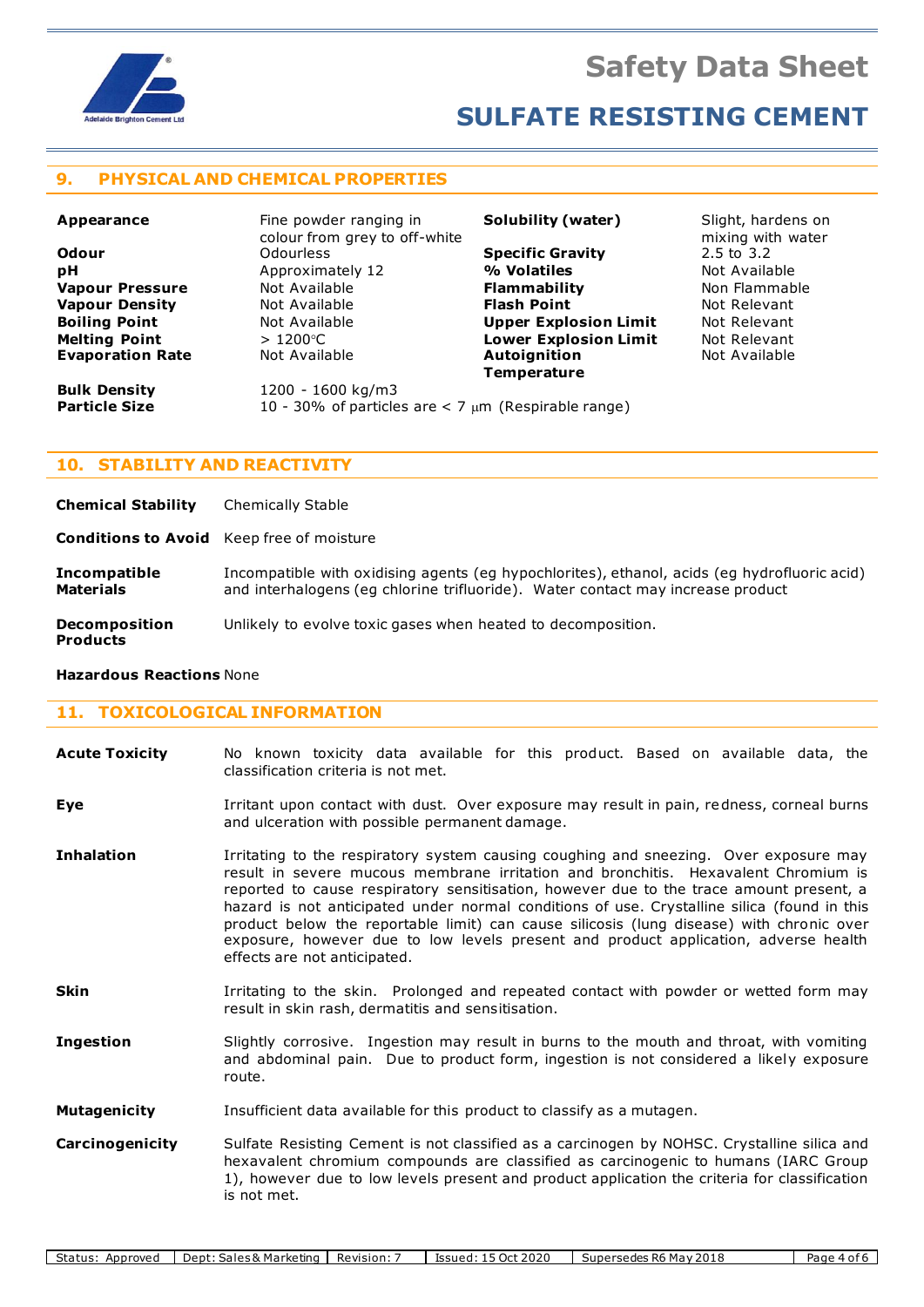

# **9. PHYSICAL AND CHEMICAL PROPERTIES**

| Appearance              | Fine powder ranging in                                     | Solubility (water)           | Slight, hardens on                         |
|-------------------------|------------------------------------------------------------|------------------------------|--------------------------------------------|
| <b>Odour</b>            | colour from grey to off-white<br><b>Odourless</b>          | <b>Specific Gravity</b>      | mixing with water<br>$2.5 \text{ to } 3.2$ |
| рH                      | Approximately 12                                           | % Volatiles                  | Not Available                              |
| <b>Vapour Pressure</b>  | Not Available                                              | <b>Flammability</b>          | Non Flammable                              |
| <b>Vapour Density</b>   | Not Available                                              | <b>Flash Point</b>           | Not Relevant                               |
| <b>Boiling Point</b>    | Not Available                                              | <b>Upper Explosion Limit</b> | Not Relevant                               |
| <b>Melting Point</b>    | $>1200^{\circ}$ C                                          | <b>Lower Explosion Limit</b> | Not Relevant                               |
| <b>Evaporation Rate</b> | Not Available                                              | <b>Autoignition</b>          | Not Available                              |
|                         |                                                            | <b>Temperature</b>           |                                            |
| <b>Bulk Density</b>     | 1200 - 1600 kg/m3                                          |                              |                                            |
| <b>Particle Size</b>    | 10 - 30% of particles are $<$ 7 $\mu$ m (Respirable range) |                              |                                            |

# **10. STABILITY AND REACTIVITY**

**Chemical Stability** Chemically Stable

**Conditions to Avoid** Keep free of moisture

**Incompatible** Incompatible with oxidising agents (eg hypochlorites), ethanol, acids (eg hydrofluoric acid)<br> **Materials** and interhalogens (eg chlorine trifluoride). Water contact may increase product **Materials** and interhalogens (eg chlorine trifluoride). Water contact may increase product

**Decomposition** Unlikely to evolve toxic gases when heated to decomposition.

# **Hazardous Reactions** None

**Products**

# **11. TOXICOLOGICAL INFORMATION**

| <b>Acute Toxicity</b> |  |                                     | No known toxicity data available for this product. Based on available data, the |  |  |  |  |
|-----------------------|--|-------------------------------------|---------------------------------------------------------------------------------|--|--|--|--|
|                       |  | classification criteria is not met. |                                                                                 |  |  |  |  |

**Eye I**rritant upon contact with dust. Over exposure may result in pain, redness, corneal burns and ulceration with possible permanent damage.

- **Inhalation** Irritating to the respiratory system causing coughing and sneezing. Over exposure may result in severe mucous membrane irritation and bronchitis. Hexavalent Chromium is reported to cause respiratory sensitisation, however due to the trace amount present, a hazard is not anticipated under normal conditions of use. Crystalline silica (found in this product below the reportable limit) can cause silicosis (lung disease) with chronic over exposure, however due to low levels present and product application, adverse health effects are not anticipated.
- **Skin** Irritating to the skin. Prolonged and repeated contact with powder or wetted form may result in skin rash, dermatitis and sensitisation.
- **Ingestion** Slightly corrosive. Ingestion may result in burns to the mouth and throat, with vomiting and abdominal pain. Due to product form, ingestion is not considered a likely exposure route.
- **Mutagenicity** Insufficient data available for this product to classify as a mutagen.
- **Carcinogenicity** Sulfate Resisting Cement is not classified as a carcinogen by NOHSC. Crystalline silica and hexavalent chromium compounds are classified as carcinogenic to humans (IARC Group 1), however due to low levels present and product application the criteria for classification is not met.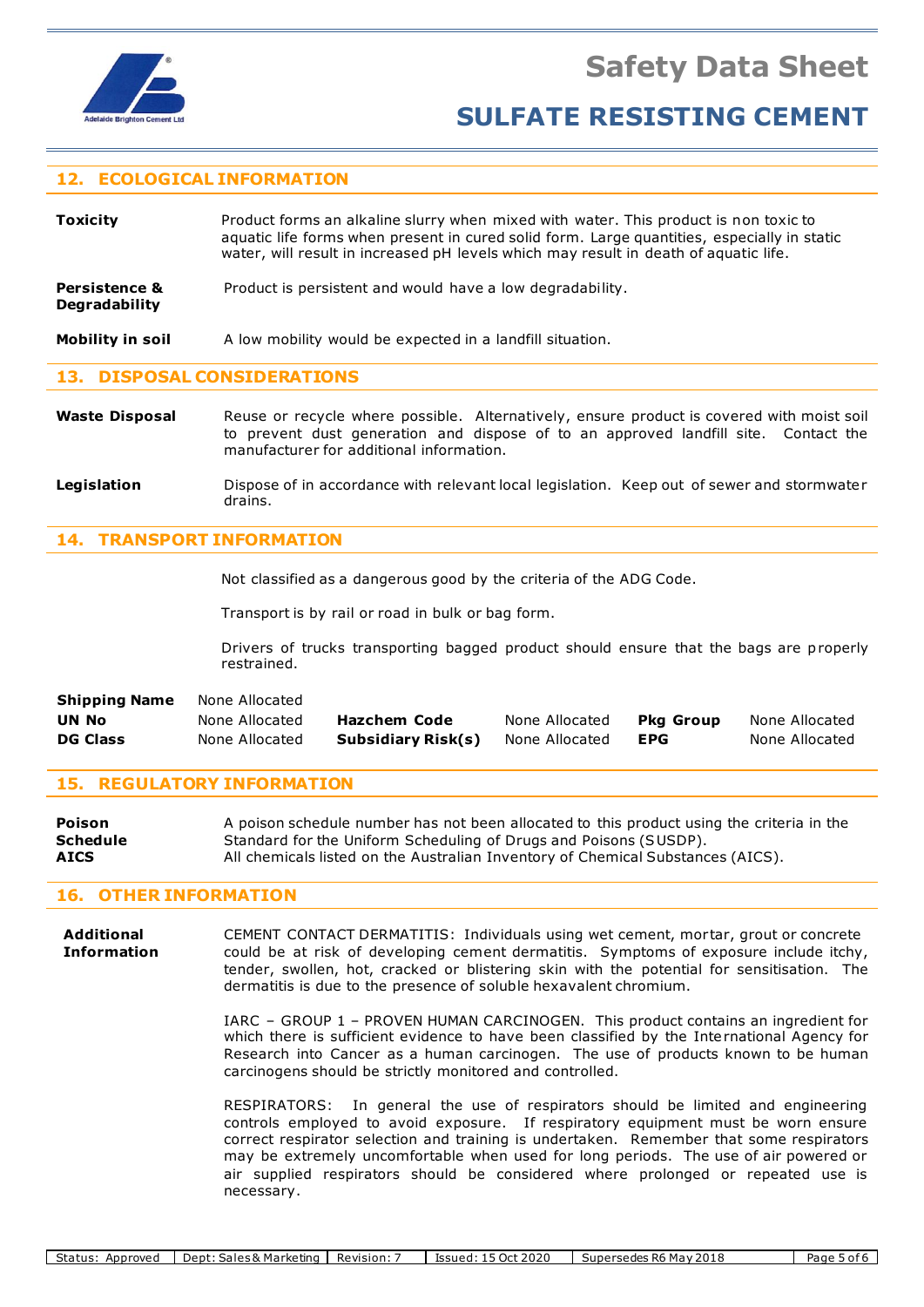

# **12. ECOLOGICAL INFORMATION**

**Toxicity** Product forms an alkaline slurry when mixed with water. This product is non toxic to aquatic life forms when present in cured solid form. Large quantities, especially in static water, will result in increased pH levels which may result in death of aquatic life.

**Persistence &** Product is persistent and would have a low degradability. **Degradability**

**Mobility in soil** A low mobility would be expected in a landfill situation.

### **13. DISPOSAL CONSIDERATIONS**

- Waste Disposal Reuse or recycle where possible. Alternatively, ensure product is covered with moist soil to prevent dust generation and dispose of to an approved landfill site. Contact the manufacturer for additional information.
- Legislation **Dispose of in accordance with relevant local legislation. Keep out of sewer and stormwater** drains.

### **14. TRANSPORT INFORMATION**

Not classified as a dangerous good by the criteria of the ADG Code.

Transport is by rail or road in bulk or bag form.

Drivers of trucks transporting bagged product should ensure that the bags are properly restrained.

| <b>Shipping Name</b> | None Allocated |                    |                |                  |                |
|----------------------|----------------|--------------------|----------------|------------------|----------------|
| <b>UN No</b>         | None Allocated | Hazchem Code       | None Allocated | <b>Pka Group</b> | None Allocated |
| <b>DG Class</b>      | None Allocated | Subsidiary Risk(s) | None Allocated | <b>EPG</b>       | None Allocated |

### **15. REGULATORY INFORMATION**

**Poison** A poison schedule number has not been allocated to this product using the criteria in the **Schedule** Standard for the Uniform Scheduling of Drugs and Poisons (SUSDP). **AICS** All chemicals listed on the Australian Inventory of Chemical Substances (AICS).

# **16. OTHER INFORMATION**

**Additional** CEMENT CONTACT DERMATITIS: Individuals using wet cement, mortar, grout or concrete **Information** could be at risk of developing cement dermatitis. Symptoms of exposure include itchy, tender, swollen, hot, cracked or blistering skin with the potential for sensitisation. The dermatitis is due to the presence of soluble hexavalent chromium.

> IARC – GROUP 1 – PROVEN HUMAN CARCINOGEN. This product contains an ingredient for which there is sufficient evidence to have been classified by the International Agency for Research into Cancer as a human carcinogen. The use of products known to be human carcinogens should be strictly monitored and controlled.

> RESPIRATORS: In general the use of respirators should be limited and engineering controls employed to avoid exposure. If respiratory equipment must be worn ensure correct respirator selection and training is undertaken. Remember that some respirators may be extremely uncomfortable when used for long periods. The use of air powered or air supplied respirators should be considered where prolonged or repeated use is necessary.